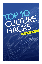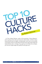

Hi. This is Robert Richman, author of the upcoming "Culture Blueprint" and I'm going to share with you the top ten culture hacks. I call them culture hacks because they are insights, mind grenades, tools, that can very quickly cut through to what you need without having to have a big, huge change and implementation plan, a strategy. If you get any one of these core concepts, you can see a huge change very quickly. So let's get into it.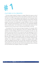# **# 1**

4 .

# CULTURE IS CO-CREATED

It's never simply created. It's always co-created. What this means is a lot of leaders and managers feel like it's their responsibility to shape the culture. But not only is it not their responsibility, they actually can't do it because culture is not in your control. It's something that's shaped by every person because it's all within the communication, within the language, and you can't control people in that sense. So everybody is actually creating it, and this is actually really, really good news because it means that you can essentially delegate this to a certain extent. You're directing it. You're saying what values are most important, but it's not up to you to carry the entire burden to do that.

An example of this is if you have some type of program, for example, within customer service, and you really want to wow your customers. Rather than creating an entire strategy yourself of how you're going to do that, you say what you want that outcome to be, what you want that expression to be on your customer's face, how you want that to be in terms of an NPS score or any other type of measurement and you leave it to your team to create that. Because what happens is what people create, they take ownership for, and if you create a culture like that where people are constantly creating things, whether it be inside the company or outside the company, there's really magic that happens because they not only take ownership of that program, they actually feel like they take ownership of the company itself. They start making decisions with pride and real critical thinking because they're thinking of it as it fits their own company. Culture is co-created.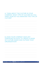#### A. THINK ABOUT THE CULTURE IN YOUR COMPANY. WHAT TYPE OF CULTURE DO YOU HAVE? HOW DO YOU MAINTAIN THIS TYPE OF **CULTURE?**

#### **B. DOES YOUR COMPANY HAVE ANY** STRATEGIES IN PLACE TO CREATE A SENSE OF CULTURE INSIDE AND OUTSIDE YOUR **ORGANIZATION?**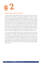

6 .

## SWEEP BEFORE YOU MOP

This is based on the principle that if you've got a lot of dirt on your floor, rather than going straight to mopping and polishing it, it makes no sense to do that before you sweep and get those big pieces of trash out of there. How the analogy applies to culture is that it really makes no sense to develop your people, to develop leaders, to keep on training and coaching people if they're really toxic to the culture to begin with. An example of this is I was once asked to come in and train leaders and I said, my assumption going in here is that you want everybody to be here on the team, that you want them to last with the company, and you're not trying to edge anybody out because they can be like weeds that really hurt this whole process. That really shut down that whole training process because they realized that, "Wait a minute. We are investing in people that we don't even really want to keep here."

This can be tough sometimes because it's not always so obvious, especially when they are a star performer, yet they're being really toxic to the culture and bringing a lot of other people down. What we've seen time and time out is that these people consistently bring down the entire company even though isolated by themselves they're great performers. So if you want to do culture work within your company, it really helps to sweep out those people, essentially, that are not needed. It's a tough move but it can be done quickly, and you'll see an elevation in the mood amongst the rest of the team players if you do this.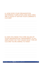#### A. HOW DOES YOUR ORGANIZATION DETERMINE IF EMPLOYEES AND NEW HIRES ARE A GOOD FIT WITHIN YOUR COMPANY'S **CULTURE?**

#### **B. HAVE YOU MADE THE CORE VALUES OF** YOUR ORGANIZATION TRANSPARENT TO ALL **EMPLOYEES? DO THEY KNOW WHAT TYPE OF CULTURE YOU'RE AIMING TO HAVE?**

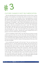

 $8^{\circ}$ .

# CULTURE CHANGE IS NOT SELF-MEDICATION

Now the idea behind this is that sometimes when we want to have a culture change, it's not actually so much about the culture as much as it is what we want for our own lives. So an example of this is I was speaking to a woman who wanted to drive a culture change and I said, "OK, based on this concept, the culture is really a feeling. It's really a feeling when people walk into a room and they get it immediately." I said, "What is the feeling you want within your culture?" and she said, "I want to feel excited. I want this to be exciting every day I walk in, that we are excited to do our job." I said, "OK. That's great. That's fantastic. Now tell me this: how much excitement do you have in your own life right now?" She didn't like answering that. She said her life is very, very boring right now. I said, "You know what? Then we're going to have to focus on that for a moment," because any culture change that you do is going to come from whatever place you're feeling.

If you're not feeling a certain value in your life and you're trying to use the culture to get that value into your life, then that's ultimately going to feel forced and people are going to notice that whether they consciously know it or not. So that first step is getting whatever value that is into your life first so that you're actually coming from a place of sharing whatever that value is that you want for people.

So we actually went through her life and said, "How can we bring more excitement into it?" and she named some activities, went and took care of that and really got more excitement in her life. Then the culture changes that she wanted came with an ease. It came with a relaxation because she was simply sharing that feeling of where she's coming from, rather than working so hard and forcing a culture to change in order to have more of that feeling in her life. Really do that self-examination. Look at what you want for the culture and say, "Do I already have this in my own life? If I were to not show up in the office, would I have this value?" If you don't, think about how you can create that first because, otherwise, you're really going against yourself and people will know that. Culture change is not self-medication.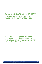#### A. IS THE CULTURE IN YOUR ORGANIZATION SOMETHING THAT CAN BE MAINTAINED OVER TIME, OR IS IT SOMETHING THAT YOU'RE CREATING OUT OF SELF-NEED?

#### **B. ARE THERE ANY ASPECTS THAT ARE** MISSING FROM YOUR CULTURE THAT YOU FEEL WOULD BENEFIT YOUR ORGANIZATION? (EX. EXCITEMENT, SUPPORT, ETC.)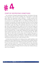

10 .

## START BY DESTROYING SOMETHING

You could start a change by destroying something. Think about it this way: how long does it take to build a building, like a skyscraper? It could take years, right? How long does it take to destroy it - minutes, seconds, when those bombs go off? It's far, far easier to destroy something. So how can we use that to our advantage? Well, we can destroy something that's not working far more quickly, more easily, less expensive, than we can by creating something new that's going to take a long time. Now this is not to say that we shouldn't create new things. We absolutely should. But if you want to get culture shifts happening first, quickly, now and to feel that energy and then leverage that energy, the fastest way that you can do that is to destroy something. An example of this is a company that realized the dress code was just not working for them. It really wasn't helping that many people. People really wanted to wear jeans to work. Then in one day they said, "OK. We're done with this. We're done with this dress code. Go ahead. Wear jeans to work." There was an eruption of celebration, a huge celebration. All this new energy and excitement about the company in coming to work just by simply destroying something that wasn't really working for them.

So think about that whether you're doing surveys, a great question to ask people if you want to figure this out is, "What do you think is useless? What do you think is a waste of your time? What do you think is pointless?" Hear them. If you're hearing a trend, think, "Is that something that we really absolutely need? How much benefit is it giving to us?" Then if you can, destroy it and then you'll have plenty of energy to funnel into those new initiatives that you want a lot of energy for.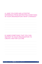#### A. HAVE YOU EVER HAD A POSITIVE **EXPERIENCE FROM DESTROYING SOMETHING** IN YOUR ORGANIZATION? WHAT CHANGED?

#### **B. NAME SOMETHING THAT YOU CAN DESTROY IN YOUR ORGANIZATION TO CREATE A BETTER CULTURE.**

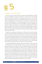# **# 5**

# CANCEL THE OFF SITE

Now I know that this has the best of intentions for everybody to go offsite and come together and think and brainstorm and have the new strategy solution for the year and then we're going to go off and do it. I'm sorry, no matter how good the intention, I consistently see this not working and it's really not anybody's fault. I am blaming the concept itself, not you as a leader, if you've done this before or if you're planning this or you're excited for it. If you want to go off and have fun and bond together as a team, absolutely, go do that, go hiking, go bowling. I've seen all kinds of benefits come from that being the intention, the intention to really bond people together and get to know each other. But if your purpose is to have a strategy session and really figure out what's going on for the rest of the year with the company, I haven't seen that work so well.

Instead, let me propose an alternative. An alternative is you take whatever time that would have been those eight hours or however many, and spread those out across time, meaning an hour here, a half-hour there, another halfhour there and expand that across time because what happens is you get people churning their thoughts around it. You put those provocative questions out there, those goals that you don't quite even know how to accomplish and then people are thinking about it when they go home, when they shower, when they're walking their dog, when they're running at the gym.

Those thoughts keep percolating up because they want to think about that and remember it for the next meeting. Then you chew on those ideas and bring them together, and then you discuss it again and again until it's refined because this is what inevitably you need. You need to refine that thought around it. You're not going to figure out that whole strategy out within one day and have it stick. Maybe parts of it would but if you're going to invest that much time and energy, experiment with stretching it across time and you'll get much better thoughts and you'll also get much more enthusiasm and dedication to it because people will have contributed more, thought about it more, argued it more. Even if it's not their position, they get to argue the opposite side and feel heard so you'll have a lot more support if you really cancel the offsite and spread that dedicated time across time.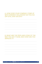#### A. HOW DOES YOUR COMPANY COME UP WITH STRATEGY SOLUTIONS? DO YOU GO OFF-SITE; STAY ON-SITE?

#### **B. WHAT ARE THE PROS AND CONS OF THE** WAY YOU DO IT NOW, AND HOW CAN YOU **IMPROVE IT?**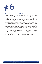

14 .

# ALIGNMENT.... TO WHAT?

Alignment is a big buzz word these days. Everybody throws it around a lot, "We need alignment. We need alignment with our teams, with our managers, through our front-end employees." It's thrown around a lot and, I think, sometimes very carelessly so because if you don't say what you're aligning to, the subscript of that is that you're saying, "Align to me and my will," and that's not something people can easily do or rely upon or even know, necessarily, if you're just simply using the word "alignment" by itself. But if you're aligning to something like the values, then that's something that everybody can play by because everybody can bring that up in conversation. Everybody can say, "OK. This is my interpretation of it. Let's discuss this. Let's have this out on the table." Then it becomes a lot less personal because you're discussing a value, which you both agreed is important. So you're aligning according to something that you both feel is important. If you aren't aligning to something that you both agreed to is important, then it's essentially just a coercive tactic to get people to do what you want them to do. Alignment to what?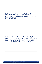#### A. DO YOUR EMPLOYEES KNOW WHAT THEY'RE ALIGNING TO? OR ARE THEY ALIGNING TO THEIR OWN INTERPRETATION OF THE WORD?

#### **B. THINK ABOUT WHY YOU WANT YOUR EMPLOYEES TO ALIGN? ARE THESE REASONS** CLEAR TO YOUR ORGANIZATION? IF NOT, HOW CAN YOU MAKE THESE REASONS CLEAR?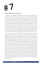# **# 7**

# FRUSTRATION IS GOLD

I know a lot of managers, myself included in the past, have really looked to shy away from frustration, whether it be my own or an employee's, because it feels so negative. It feels like negative energy. "Things are much better than you think. Let's put this away." Until I realized that this is a theme that so many people feel and it's actually a good thing because what frustration is means that you've got a vision for something that you think it should be "X" way but something's blocking that, and it's really upsetting, which means that you're actually passionate about that vision that you have for it or that your employees have for it. If the frustration wasn't there, then that would be apathy and you can't work with apathy. There's just no energy there to move around. But if they're frustrated, that means there's passion, that means there's energy, which can be discussed, debated, a healthy tension coming up, really rolling up the sleeves and getting into figuring out what that is.

So what I like to say is that when you found frustration, you've actually hit a gold mine because you've tapped into a deep passion that can then be figured out, leveraged, understood, played with. If you have this concept in your mind and you teach it to your people, it can really do this 180 around what's typically perceived as something very negative because a lot of the best cultures actually have a fair amount of tension to them. Sometimes, there is tension between and amongst values themselves. What if you want to wow a customer but you also want to do more with less and there's an idea that costs a lot but somebody's saying, "Wait! How are we going to do this for less money?" And then there's that tension, that debate between those two values. So frustration is actually something to be cultivated because it's there whether you like it or not. If you don't cultivate it, what happens is it leaks out in other places where you don't want it. It leaks out to places like the water cooler where you can't see it or the smoke breaks or when people go home and complain to their spouses. Then all that energy went out to places where it's not serving anybody. It's actually just bringing people down whereas if you harness that energy, you can benefit from it and then they can go and be talking about much more important things on those breaks. Frustration is gold.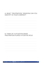## A. WHAT "FRUSTRATION" (PASSION) CAN YOU **IDENTIFY IN YOUR COMPANY?**

#### **B. THINK OF A SITUATION WHEN** FRUSTRATION PLAYED A POSITIVE ROLE.

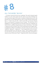

18 .

# KILL THE WORD "BUY-IN"

I'm serious; remove this from your vocabulary. The word is heavily, heavily loaded. It's a term about sales and who wants to be sold something? You can just get that image of that used car salesman feeling that you don't like because even if it's something that you want, it's got that feel of being sold. Buy in, "I need to buy into this. I need to part with my resources and give them to you because I'm buying into your concept." The word has a lot of baggage to it. It's something that if you eliminate it from your vocabulary, you have to think in a different way because you have to think about, "How is this in alignment with the values? How is this something that we all agree with?" as opposed to selling me something I now have to buy. So if you use more words like "alignment", "agreement", "how this gets back to the core values" and force yourself not to use that term "buy-in", then it's going to create a lot more harmony and you're going to actually enjoy these conversations a whole lot more. Kill the word "buy-in". Experiment with it. See how that goes.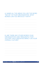#### A. NAME ALL THE AREAS YOU USE THE WORD "BUY-IN" IN YOUR ORGANIZATION. WHAT **WORDS CAN YOU REPLACE IT WITH?**

#### **B. ARE THERE ANY OTHER WORDS YOUR** ORGANIZATION USES FREQUENTLY THAT YOU FEEL HAS A NEGATIVE IMPACT ON YOUR **OVERALL CULTURE?**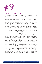

### RITUALIZE YOUR ENERGY

Energy is key. If you've got a lot of energy in your organization, you can direct that to any initiative, any program, any strategy, any goal that you want because there's a ton of energy there. Imagine everybody just coming in dead tired. What are you going to do with that? How much can you really leverage a little energy? Rather than being very random about it, you can actually create rituals that make sure it's there no matter what. I'll give you an example of one that you're welcome to use. In the morning, it typically sets the tone for the day. So what do you want people to focus on? What do you want them to think about? I've found that focusing on two simple things gets the energy going and gets people focused and directed. One is, "What are you happy about? What are you excited about? What are you thankful for?" and have each person say that one thing, just one thing, just pick out one, specific thing and have it be different all the time, otherwise those meanings get boring. Get that positive energy going as a ritual.

Then the second question for everybody is, "What's that one thing you want to knock out of the park today?" What's great about that is it gets people focused and other people in the room, on the team, hear that and can be there to support them in that goal. If they keep bringing that goal up in the meeting, that one focus, people start saying, "Hey, are you going to get that done or what? What's going on here?" So it holds people accountable. If you create this very simple, very quick ritual within a team for each person to quickly answer the question, "What are you happy about, excited about? What's a win that you had?" This is a great one because sometimes we don't get celebrated for things that we know we did but nobody else did so let's celebrate that. What's a win you had yesterday? That one positive energy question, "What are you thankful for, excited about, happy about?" and then, "What are you going to knock out of the park today? What's your focus? What's your priority?" Ritualize your energy. Don't leave it to chance.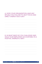#### A. DOES YOUR ORGANIZATION HAVE ANY RITUALS YOU FOLLOW TO HELP FOCUS AND **DIRECT ENERGY EACH DAY?**

#### **B. IN WHAT WAYS DO YOU CHALLENGE AND** HOLD YOUR EMPLOYEES ACCOUNTABLE IN A POSITIVE, ENERGETIC WAY?

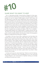

#### SHARE WHAT YOU WANT TO KEEP

This is a fascinating principle I learned being at Zappos for three years, which is I think there is absolutely no coincidence that Zappos makes it offices available for tours for anyone, 25,000 people coming in 2012 alone, and the opportunity to meet with various departments, learn all kinds of things, going to CultureBook.org to get their culture book for free and spreading all about what the culture is. Low and behold, it becomes the number one brand in customer service and a top ten company for best places to work. What I realized is that you share what you want to keep because anything you hoard and keep to yourself and don't, tends to disappear. It tends to be temporary. Whereas, for example, with the tours at Zappos, bringing in fresh eyes all of the time of people who are looking and saying, "Wow. This is incredible." It keeps people grateful and it keeps people in integrity because they say, "OK. We've got to really uphold what we're all about because we're under public scrutiny constantly, whether it be the press or others. So the people at Zappos can really get that and stay that in integrity.

So whether it be tours of your office, creating your own book about the company that you want to give away, videos about the culture. There's a great company called Vooza that's doing funny videos within their culture and sharing that. They're highly comedic. Anything, whatever's really unique to your company, if you take that, what you really love about it and share it with others, it could be the philosophy, it could be the manifesto. There's a great company called "Balsamiq" with a  $Q$  at the end that makes design software that has incredible videos and a manifesto that's just amazing, that has people saying, literally in quotes, "I want to buy your software even though I don't need it because I just want to be a part of what you stand for." It's amazing how much you can sustain a great culture if you share it. Share what you want to keep.

So these are the top ten culture hacks here. Thanks so much for listening. Pay attention to Richman.LA and CultureBlueprint.com for the upcoming "Culture Blueprint" and I look forward to hopefully meeting you someday and talking more about your culture.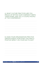#### A. WHAT CULTURE PRACTICES ARE YOU PROUD OF WITHIN YOUR COMPANY? WRITE THEM DOWN, AND TELL A COUPLE PEOPLE AT THE CONFERENCE!

#### **B. DOES YOUR ORGANIZATION PRACTICE GRATEFULNESS? HOW DOES THIS HAVE A** POSITIVE IMPACT ON YOUR DAY-TO-DAY?